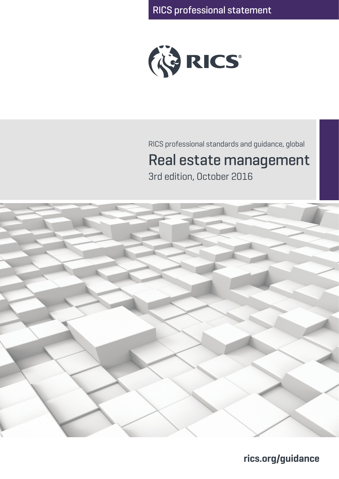

RICS professional standards and guidance, global

# Real estate management

3rd edition, October 2016



**rics.org/guidance**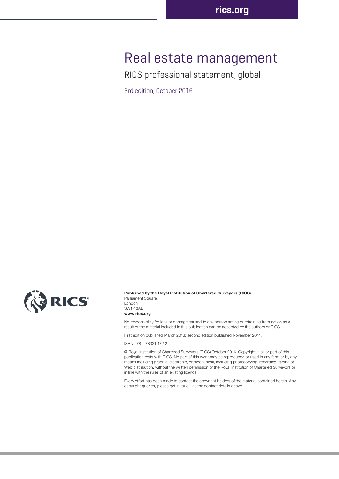## Real estate management

RICS professional statement, global

3rd edition, October 2016



#### **Published by the Royal Institution of Chartered Surveyors (RICS)**

Parliament Square London SW1P 3AD **www.rics.org**

No responsibility for loss or damage caused to any person acting or refraining from action as a result of the material included in this publication can be accepted by the authors or RICS.

First edition published March 2013; second edition published November 2014.

ISBN 978 1 78321 172 2

© Royal Institution of Chartered Surveyors (RICS) October 2016. Copyright in all or part of this publication rests with RICS. No part of this work may be reproduced or used in any form or by any means including graphic, electronic, or mechanical, including photocopying, recording, taping or Web distribution, without the written permission of the Royal Institution of Chartered Surveyors or in line with the rules of an existing licence.

Every effort has been made to contact the copyright holders of the material contained herein. Any copyright queries, please get in touch via the contact details above.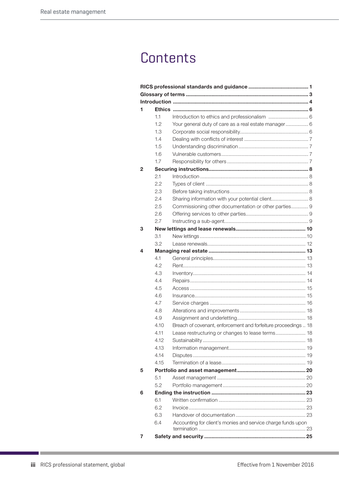## **Contents**

| 1 |      |                                                                |  |  |
|---|------|----------------------------------------------------------------|--|--|
|   | 1.1  |                                                                |  |  |
|   | 1.2  | Your general duty of care as a real estate manager 6           |  |  |
|   | 1.3  |                                                                |  |  |
|   | 1.4  |                                                                |  |  |
|   | 1.5  |                                                                |  |  |
|   | 1.6  |                                                                |  |  |
|   | 1.7  |                                                                |  |  |
| 2 |      |                                                                |  |  |
|   | 2.1  |                                                                |  |  |
|   | 2.2  |                                                                |  |  |
|   | 2.3  |                                                                |  |  |
|   | 2.4  | Sharing information with your potential client 8               |  |  |
|   | 2.5  | Commissioning other documentation or other parties 9           |  |  |
|   | 2.6  |                                                                |  |  |
|   | 2.7  |                                                                |  |  |
| 3 |      |                                                                |  |  |
|   | 3.1  |                                                                |  |  |
|   | 3.2  |                                                                |  |  |
| 4 |      |                                                                |  |  |
|   | 4.1  |                                                                |  |  |
|   | 4.2  |                                                                |  |  |
|   | 4.3  |                                                                |  |  |
|   | 4.4  |                                                                |  |  |
|   | 4.5  |                                                                |  |  |
|   | 4.6  |                                                                |  |  |
|   | 4.7  |                                                                |  |  |
|   | 4.8  |                                                                |  |  |
|   | 4.9  |                                                                |  |  |
|   | 4.10 | Breach of covenant, enforcement and forfeiture proceedings  18 |  |  |
|   | 4.11 | Lease restructuring or changes to lease terms 18               |  |  |
|   | 4.12 |                                                                |  |  |
|   | 4.13 |                                                                |  |  |
|   | 4.14 |                                                                |  |  |
|   | 4.15 |                                                                |  |  |
| 5 |      |                                                                |  |  |
|   | 5.1  |                                                                |  |  |
|   | 5.2  |                                                                |  |  |
| 6 |      |                                                                |  |  |
|   | 6.1  |                                                                |  |  |
|   | 6.2  |                                                                |  |  |
|   | 6.3  |                                                                |  |  |
|   | 6.4  | Accounting for client's monies and service charge funds upon   |  |  |
| 7 |      |                                                                |  |  |
|   |      |                                                                |  |  |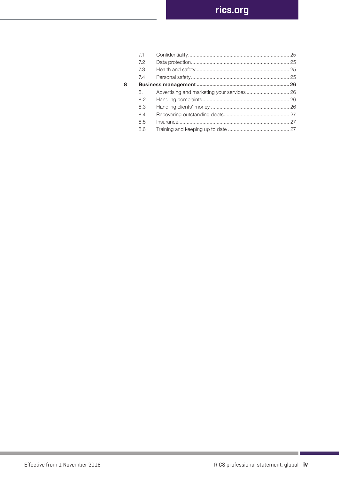|   | 7.1 |  |
|---|-----|--|
|   | 7.2 |  |
|   | 7.3 |  |
|   | 7.4 |  |
| 8 |     |  |
|   | 8.1 |  |
|   | 8.2 |  |
|   | 8.3 |  |
|   | 8.4 |  |
|   | 8.5 |  |
|   | 8.6 |  |
|   |     |  |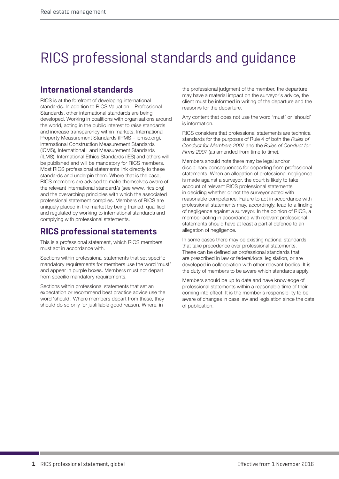# RICS professional standards and guidance

## **International standards**

RICS is at the forefront of developing international standards. In addition to RICS Valuation – Professional Standards, other international standards are being developed. Working in coalitions with organisations around the world, acting in the public interest to raise standards and increase transparency within markets, International Property Measurement Standards (IPMS – ipmsc.org), International Construction Measurement Standards (ICMS), International Land Measurement Standards (ILMS), International Ethics Standards (IES) and others will be published and will be mandatory for RICS members. Most RICS professional statements link directly to these standards and underpin them. Where that is the case, RICS members are advised to make themselves aware of the relevant international standard/s (see www. rics.org) and the overarching principles with which the associated professional statement complies. Members of RICS are uniquely placed in the market by being trained, qualified and regulated by working to international standards and complying with professional statements.

## **RICS professional statements**

This is a professional statement, which RICS members must act in accordance with.

Sections within professional statements that set specific mandatory requirements for members use the word 'must' and appear in purple boxes. Members must not depart from specific mandatory requirements.

Sections within professional statements that set an expectation or recommend best practice advice use the word 'should'. Where members depart from these, they should do so only for justifiable good reason. Where, in

the professional judgment of the member, the departure may have a material impact on the surveyor's advice, the client must be informed in writing of the departure and the reason/s for the departure.

Any content that does not use the word 'must' or 'should' is information.

RICS considers that professional statements are technical standards for the purposes of Rule 4 of both the *Rules of Conduct for Members 2007* and the *Rules of Conduct for Firms 2007* (as amended from time to time).

Members should note there may be legal and/or disciplinary consequences for departing from professional statements. When an allegation of professional negligence is made against a surveyor, the court is likely to take account of relevant RICS professional statements in deciding whether or not the surveyor acted with reasonable competence. Failure to act in accordance with professional statements may, accordingly, lead to a finding of negligence against a surveyor. In the opinion of RICS, a member acting in accordance with relevant professional statements should have at least a partial defence to an allegation of negligence.

In some cases there may be existing national standards that take precedence over professional statements. These can be defined as professional standards that are prescribed in law or federal/local legislation, or are developed in collaboration with other relevant bodies. It is the duty of members to be aware which standards apply.

Members should be up to date and have knowledge of professional statements within a reasonable time of their coming into effect. It is the member's responsibility to be aware of changes in case law and legislation since the date of publication.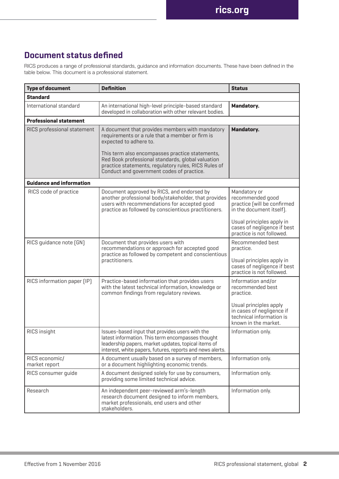## **Document status defined**

RICS produces a range of professional standards, guidance and information documents. These have been defined in the table below. This document is a professional statement.

| <b>Type of document</b>         | <b>Definition</b>                                                                                                                                                                                                        | <b>Status</b>                                                                                                                                                  |  |  |  |  |  |  |
|---------------------------------|--------------------------------------------------------------------------------------------------------------------------------------------------------------------------------------------------------------------------|----------------------------------------------------------------------------------------------------------------------------------------------------------------|--|--|--|--|--|--|
| <b>Standard</b>                 |                                                                                                                                                                                                                          |                                                                                                                                                                |  |  |  |  |  |  |
| International standard          | An international high-level principle-based standard<br>developed in collaboration with other relevant bodies.                                                                                                           | Mandatory.                                                                                                                                                     |  |  |  |  |  |  |
| <b>Professional statement</b>   |                                                                                                                                                                                                                          |                                                                                                                                                                |  |  |  |  |  |  |
| RICS professional statement     | A document that provides members with mandatory<br>requirements or a rule that a member or firm is<br>expected to adhere to.                                                                                             | Mandatory.                                                                                                                                                     |  |  |  |  |  |  |
|                                 | This term also encompasses practice statements,<br>Red Book professional standards, global valuation<br>practice statements, regulatory rules, RICS Rules of<br>Conduct and government codes of practice.                |                                                                                                                                                                |  |  |  |  |  |  |
| <b>Guidance and information</b> |                                                                                                                                                                                                                          |                                                                                                                                                                |  |  |  |  |  |  |
| RICS code of practice           | Document approved by RICS, and endorsed by<br>another professional body/stakeholder, that provides<br>users with recommendations for accepted good<br>practice as followed by conscientious practitioners.               | Mandatory or<br>recommended good<br>practice [will be confirmed<br>in the document itself).                                                                    |  |  |  |  |  |  |
|                                 |                                                                                                                                                                                                                          | Usual principles apply in<br>cases of negligence if best<br>practice is not followed.                                                                          |  |  |  |  |  |  |
| RICS quidance note [GN]         | Document that provides users with<br>recommendations or approach for accepted good<br>practice as followed by competent and conscientious<br>practitioners.                                                              | Recommended best<br>practice.<br>Usual principles apply in<br>cases of negligence if best<br>practice is not followed.                                         |  |  |  |  |  |  |
| RICS information paper [IP]     | Practice-based information that provides users<br>with the latest technical information, knowledge or<br>common findings from regulatory reviews.                                                                        | Information and/or<br>recommended best<br>practice.<br>Usual principles apply<br>in cases of negligence if<br>technical information is<br>known in the market. |  |  |  |  |  |  |
| RICS insight                    | Issues-based input that provides users with the<br>latest information. This term encompasses thought<br>leadership papers, market updates, topical items of<br>interest, white papers, futures, reports and news alerts. | Information only.                                                                                                                                              |  |  |  |  |  |  |
| RICS economic/<br>market report | A document usually based on a survey of members,<br>or a document highlighting economic trends.                                                                                                                          | Information only.                                                                                                                                              |  |  |  |  |  |  |
| RICS consumer quide             | A document designed solely for use by consumers,<br>providing some limited technical advice.                                                                                                                             | Information only.                                                                                                                                              |  |  |  |  |  |  |
| Research                        | An independent peer-reviewed arm's-length<br>research document designed to inform members,<br>market professionals, end users and other<br>stakeholders.                                                                 | Information only.                                                                                                                                              |  |  |  |  |  |  |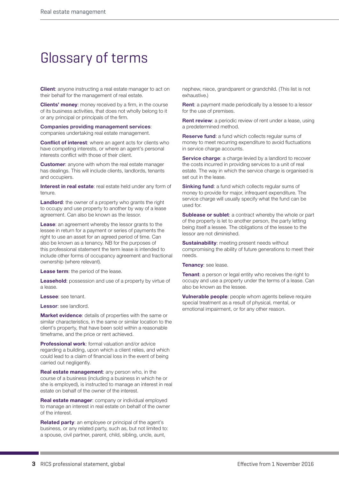## Glossary of terms

**Client**: anyone instructing a real estate manager to act on their behalf for the management of real estate.

**Clients' money**: money received by a firm, in the course of its business activities, that does not wholly belong to it or any principal or principals of the firm.

**Companies providing management services**: companies undertaking real estate management.

**Conflict of interest:** where an agent acts for clients who have competing interests, or where an agent's personal interests conflict with those of their client.

**Customer**: anyone with whom the real estate manager has dealings. This will include clients, landlords, tenants and occupiers.

**Interest in real estate**: real estate held under any form of tenure.

**Landlord:** the owner of a property who grants the right to occupy and use property to another by way of a lease agreement. Can also be known as the lessor.

**Lease**: an agreement whereby the lessor grants to the lessee in return for a payment or series of payments the right to use an asset for an agreed period of time. Can also be known as a tenancy. NB for the purposes of this professional statement the term lease is intended to include other forms of occupancy agreement and fractional ownership (where relevant).

**Lease term**: the period of the lease.

**Leasehold:** possession and use of a property by virtue of a lease.

**Lessee**: see tenant.

**Lessor**: see landlord.

**Market evidence**: details of properties with the same or similar characteristics, in the same or similar location to the client's property, that have been sold within a reasonable timeframe, and the price or rent achieved.

**Professional work**: formal valuation and/or advice regarding a building, upon which a client relies, and which could lead to a claim of financial loss in the event of being carried out negligently.

**Real estate management**: any person who, in the course of a business (including a business in which he or she is employed), is instructed to manage an interest in real estate on behalf of the owner of the interest.

**Real estate manager**: company or individual employed to manage an interest in real estate on behalf of the owner of the interest.

**Related party**: an employee or principal of the agent's business, or any related party, such as, but not limited to: a spouse, civil partner, parent, child, sibling, uncle, aunt,

nephew, niece, grandparent or grandchild. (This list is not exhaustive.)

**Rent**: a payment made periodically by a lessee to a lessor for the use of premises.

**Rent review**: a periodic review of rent under a lease, using a predetermined method.

**Reserve fund**: a fund which collects regular sums of money to meet recurring expenditure to avoid fluctuations in service charge accounts.

**Service charge:** a charge levied by a landlord to recover the costs incurred in providing services to a unit of real estate. The way in which the service charge is organised is set out in the lease.

**Sinking fund:** a fund which collects regular sums of money to provide for major, infrequent expenditure. The service charge will usually specify what the fund can be used for.

**Sublease or sublet**: a contract whereby the whole or part of the property is let to another person, the party letting being itself a lessee. The obligations of the lessee to the lessor are not diminished.

**Sustainability**: meeting present needs without compromising the ability of future generations to meet their needs.

#### **Tenancy**: see lease.

**Tenant:** a person or legal entity who receives the right to occupy and use a property under the terms of a lease. Can also be known as the lessee.

**Vulnerable people**: people whom agents believe require special treatment as a result of physical, mental, or emotional impairment, or for any other reason.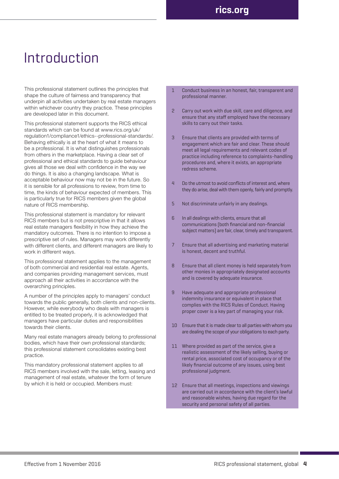## Introduction

This professional statement outlines the principles that shape the culture of fairness and transparency that underpin all activities undertaken by real estate managers within whichever country they practice. These principles are developed later in this document.

This professional statement supports the RICS ethical standards which can be found at www.rics.org/uk/ regulation1/compliance1/ethics--professional-standards/. Behaving ethically is at the heart of what it means to be a professional. It is what distinguishes professionals from others in the marketplace. Having a clear set of professional and ethical standards to guide behaviour gives all those we deal with confidence in the way we do things. It is also a changing landscape. What is acceptable behaviour now may not be in the future. So it is sensible for all professions to review, from time to time, the kinds of behaviour expected of members. This is particularly true for RICS members given the global nature of RICS membership.

This professional statement is mandatory for relevant RICS members but is not prescriptive in that it allows real estate managers flexibility in how they achieve the mandatory outcomes. There is no intention to impose a prescriptive set of rules. Managers may work differently with different clients, and different managers are likely to work in different ways.

This professional statement applies to the management of both commercial and residential real estate. Agents, and companies providing management services, must approach all their activities in accordance with the overarching principles.

A number of the principles apply to managers' conduct towards the public generally, both clients and non-clients. However, while everybody who deals with managers is entitled to be treated properly, it is acknowledged that managers have particular duties and responsibilities towards their clients.

Many real estate managers already belong to professional bodies, which have their own professional standards; this professional statement consolidates existing best practice.

This mandatory professional statement applies to all RICS members involved with the sale, letting, leasing and management of real estate, whatever the form of tenure by which it is held or occupied. Members must:

- 1 Conduct business in an honest, fair, transparent and professional manner.
- 2 Carry out work with due skill, care and diligence, and ensure that any staff employed have the necessary skills to carry out their tasks.
- 3 Ensure that clients are provided with terms of engagement which are fair and clear. These should meet all legal requirements and relevant codes of practice including reference to complaints-handling procedures and, where it exists, an appropriate redress scheme.
- 4 Do the utmost to avoid conflicts of interest and, where they do arise, deal with them openly, fairly and promptly.
- 5 Not discriminate unfairly in any dealings.
- 6 In all dealings with clients, ensure that all communications (both financial and non-financial subject matters) are fair, clear, timely and transparent.
- 7 Ensure that all advertising and marketing material is honest, decent and truthful.
- 8 Ensure that all client money is held separately from other monies in appropriately designated accounts and is covered by adequate insurance.
- 9 Have adequate and appropriate professional indemnity insurance or equivalent in place that complies with the RICS Rules of Conduct. Having proper cover is a key part of managing your risk.
- 10 Ensure that it is made clear to all parties with whom you are dealing the scope of your obligations to each party.
- 11 Where provided as part of the service, give a realistic assessment of the likely selling, buying or rental price, associated cost of occupancy or of the likely financial outcome of any issues, using best professional judgment.
- 12 Ensure that all meetings, inspections and viewings are carried out in accordance with the client's lawful and reasonable wishes, having due regard for the security and personal safety of all parties.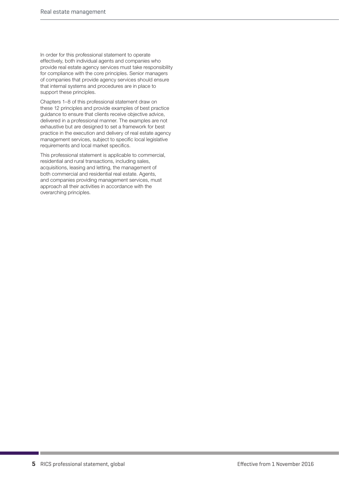In order for this professional statement to operate effectively, both individual agents and companies who provide real estate agency services must take responsibility for compliance with the core principles. Senior managers of companies that provide agency services should ensure that internal systems and procedures are in place to support these principles.

Chapters 1–8 of this professional statement draw on these 12 principles and provide examples of best practice guidance to ensure that clients receive objective advice, delivered in a professional manner. The examples are not exhaustive but are designed to set a framework for best practice in the execution and delivery of real estate agency management services, subject to specific local legislative requirements and local market specifics.

This professional statement is applicable to commercial, residential and rural transactions, including sales, acquisitions, leasing and letting, the management of both commercial and residential real estate. Agents, and companies providing management services, must approach all their activities in accordance with the overarching principles.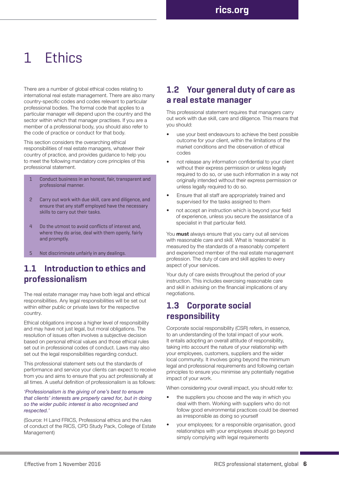# 1 Ethics

There are a number of global ethical codes relating to international real estate management. There are also many country-specific codes and codes relevant to particular professional bodies. The formal code that applies to a particular manager will depend upon the country and the sector within which that manager practises. If you are a member of a professional body, you should also refer to the code of practice or conduct for that body.

This section considers the overarching ethical responsibilities of real estate managers, whatever their country of practice, and provides guidance to help you to meet the following mandatory core principles of this professional statement.

- Conduct business in an honest, fair, transparent and professional manner.
- 2 Carry out work with due skill, care and diligence, and ensure that any staff employed have the necessary skills to carry out their tasks.
- 4 Do the utmost to avoid conflicts of interest and, where they do arise, deal with them openly, fairly and promptly.
- Not discriminate unfairly in any dealings.

## **1.1 Introduction to ethics and professionalism**

The real estate manager may have both legal and ethical responsibilities. Any legal responsibilities will be set out within either public or private laws for the respective country.

Ethical obligations impose a higher level of responsibility and may have not just legal, but moral obligations. The resolution of issues often involves a subjective decision based on personal ethical values and those ethical rules set out in professional codes of conduct. Laws may also set out the legal responsibilities regarding conduct.

This professional statement sets out the standards of performance and service your clients can expect to receive from you and aims to ensure that you act professionally at all times. A useful definition of professionalism is as follows:

#### *'Professionalism is the giving of one's best to ensure that clients' interests are properly cared for, but in doing so the wider public interest is also recognised and respected.'*

(Source: H Land FRICS, Professional ethics and the rules of conduct of the RICS, CPD Study Pack, College of Estate Management)

## **1.2 Your general duty of care as a real estate manager**

This professional statement requires that managers carry out work with due skill, care and diligence. This means that you should:

- use your best endeavours to achieve the best possible outcome for your client, within the limitations of the market conditions and the observation of ethical codes
- not release any information confidential to your client without their express permission or unless legally required to do so, or use such information in a way not originally intended without their express permission or unless legally required to do so.
- Ensure that all staff are appropriately trained and supervised for the tasks assigned to them
- not accept an instruction which is beyond your field of experience, unless you secure the assistance of a specialist in that particular field.

You **must** always ensure that you carry out all services with reasonable care and skill. What is 'reasonable' is measured by the standards of a reasonably competent and experienced member of the real estate management profession. The duty of care and skill applies to every aspect of your services.

Your duty of care exists throughout the period of your instruction. This includes exercising reasonable care and skill in advising on the financial implications of any negotiations.

## **1.3 Corporate social responsibility**

Corporate social responsibility (CSR) refers, in essence, to an understanding of the total impact of your work. It entails adopting an overall attitude of responsibility, taking into account the nature of your relationship with your employees, customers, suppliers and the wider local community. It involves going beyond the minimum legal and professional requirements and following certain principles to ensure you minimise any potentially negative impact of your work.

When considering your overall impact, you should refer to:

- the suppliers you choose and the way in which you deal with them. Working with suppliers who do not follow good environmental practices could be deemed as irresponsible as doing so yourself
- your employees; for a responsible organisation, good relationships with your employees should go beyond simply complying with legal requirements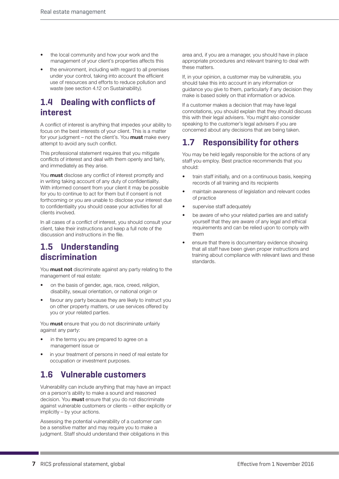- the local community and how your work and the management of your client's properties affects this
- the environment, including with regard to all premises under your control, taking into account the efficient use of resources and efforts to reduce pollution and waste (see section 4.12 on Sustainability).

## **1.4 Dealing with conflicts of interest**

A conflict of interest is anything that impedes your ability to focus on the best interests of your client. This is a matter for your judgment – not the client's. You **must** make every attempt to avoid any such conflict.

This professional statement requires that you mitigate conflicts of interest and deal with them openly and fairly, and immediately as they arise.

You **must** disclose any conflict of interest promptly and in writing taking account of any duty of confidentiality. With informed consent from your client it may be possible for you to continue to act for them but if consent is not forthcoming or you are unable to disclose your interest due to confidentiality you should cease your activities for all clients involved.

In all cases of a conflict of interest, you should consult your client, take their instructions and keep a full note of the discussion and instructions in the file.

## **1.5 Understanding discrimination**

You **must not** discriminate against any party relating to the management of real estate:

- on the basis of gender, age, race, creed, religion, disability, sexual orientation, or national origin or
- favour any party because they are likely to instruct you on other property matters, or use services offered by you or your related parties.

You **must** ensure that you do not discriminate unfairly against any party:

- in the terms you are prepared to agree on a management issue or
- in your treatment of persons in need of real estate for occupation or investment purposes.

## **1.6 Vulnerable customers**

Vulnerability can include anything that may have an impact on a person's ability to make a sound and reasoned decision. You **must** ensure that you do not discriminate against vulnerable customers or clients – either explicitly or implicitly – by your actions.

Assessing the potential vulnerability of a customer can be a sensitive matter and may require you to make a judgment. Staff should understand their obligations in this area and, if you are a manager, you should have in place appropriate procedures and relevant training to deal with these matters.

If, in your opinion, a customer may be vulnerable, you should take this into account in any information or guidance you give to them, particularly if any decision they make is based solely on that information or advice.

If a customer makes a decision that may have legal connotations, you should explain that they should discuss this with their legal advisers. You might also consider speaking to the customer's legal advisers if you are concerned about any decisions that are being taken.

## **1.7 Responsibility for others**

You may be held legally responsible for the actions of any staff you employ. Best practice recommends that you should:

- train staff initially, and on a continuous basis, keeping records of all training and its recipients
- maintain awareness of legislation and relevant codes of practice
- supervise staff adequately
- be aware of who your related parties are and satisfy yourself that they are aware of any legal and ethical requirements and can be relied upon to comply with them
- ensure that there is documentary evidence showing that all staff have been given proper instructions and training about compliance with relevant laws and these standards.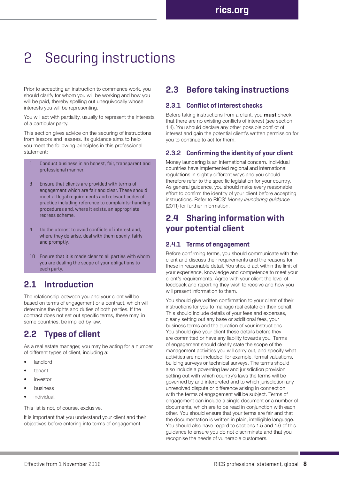# 2 Securing instructions

Prior to accepting an instruction to commence work, you should clarify for whom you will be working and how you will be paid, thereby spelling out unequivocally whose interests you will be representing.

You will act with partiality, usually to represent the interests of a particular party.

This section gives advice on the securing of instructions from lessors and lessees. Its guidance aims to help you meet the following principles in this professional statement:

- 1 Conduct business in an honest, fair, transparent and professional manner.
- 3 Ensure that clients are provided with terms of engagement which are fair and clear. These should meet all legal requirements and relevant codes of practice including reference to complaints-handling procedures and, where it exists, an appropriate redress scheme.
- 4 Do the utmost to avoid conflicts of interest and, where they do arise, deal with them openly, fairly and promptly.
- 10 Ensure that it is made clear to all parties with whom you are dealing the scope of your obligations to each party.

## **2.1 Introduction**

The relationship between you and your client will be based on terms of engagement or a contract, which will determine the rights and duties of both parties. If the contract does not set out specific terms, these may, in some countries, be implied by law.

## **2.2 Types of client**

As a real estate manager, you may be acting for a number of different types of client, including a:

- **landlord**
- tenant
- investor
- business
- individual.

This list is not, of course, exclusive.

It is important that you understand your client and their objectives before entering into terms of engagement.

## **2.3 Before taking instructions**

#### **2.3.1 Conflict of interest checks**

Before taking instructions from a client, you **must** check that there are no existing conflicts of interest (see section 1.4). You should declare any other possible conflict of interest and gain the potential client's written permission for you to continue to act for them.

#### **2.3.2 Confirming the identity of your client**

Money laundering is an international concern. Individual countries have implemented regional and international regulations in slightly different ways and you should therefore refer to the specific legislation for your country. As general guidance, you should make every reasonable effort to confirm the identity of your client before accepting instructions. Refer to RICS' *Money laundering guidance*  (2011) for further information.

## **2.4 Sharing information with your potential client**

#### **2.4.1 Terms of engagement**

Before confirming terms, you should communicate with the client and discuss their requirements and the reasons for these in reasonable detail. You should act within the limit of your experience, knowledge and competence to meet your client's requirements. Agree with your client the level of feedback and reporting they wish to receive and how you will present information to them.

You should give written confirmation to your client of their instructions for you to manage real estate on their behalf. This should include details of your fees and expenses, clearly setting out any base or additional fees, your business terms and the duration of your instructions. You should give your client these details before they are committed or have any liability towards you. Terms of engagement should clearly state the scope of the management activities you will carry out, and specify what activities are not included, for example, formal valuations, building surveys or technical surveys. The terms should also include a governing law and jurisdiction provision setting out with which country's laws the terms will be governed by and interpreted and to which jurisdiction any unresolved dispute or difference arising in connection with the terms of engagement will be subject. Terms of engagement can include a single document or a number of documents, which are to be read in conjunction with each other. You should ensure that your terms are fair and that the documentation is written in plain, intelligible language. You should also have regard to sections 1.5 and 1.6 of this guidance to ensure you do not discriminate and that you recognise the needs of vulnerable customers.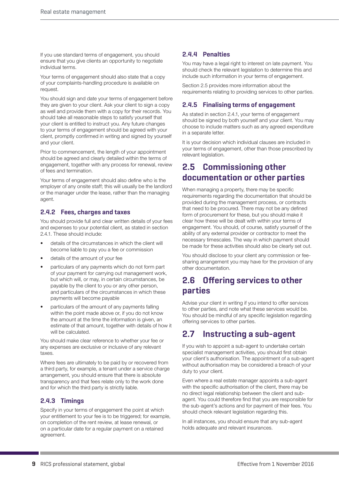If you use standard terms of engagement, you should ensure that you give clients an opportunity to negotiate individual terms.

Your terms of engagement should also state that a copy of your complaints-handling procedure is available on request.

You should sign and date your terms of engagement before they are given to your client. Ask your client to sign a copy as well and provide them with a copy for their records. You should take all reasonable steps to satisfy yourself that your client is entitled to instruct you. Any future changes to your terms of engagement should be agreed with your client, promptly confirmed in writing and signed by yourself and your client.

Prior to commencement, the length of your appointment should be agreed and clearly detailed within the terms of engagement, together with any process for renewal, review of fees and termination.

Your terms of engagement should also define who is the employer of any onsite staff; this will usually be the landlord or the manager under the lease, rather than the managing agent.

#### **2.4.2 Fees, charges and taxes**

You should provide full and clear written details of your fees and expenses to your potential client, as stated in section 2.4.1. These should include:

- details of the circumstances in which the client will become liable to pay you a fee or commission
- details of the amount of your fee
- particulars of any payments which do not form part of your payment for carrying out management work, but which will, or may, in certain circumstances, be payable by the client to you or any other person, and particulars of the circumstances in which these payments will become payable
- particulars of the amount of any payments falling within the point made above or, if you do not know the amount at the time the information is given, an estimate of that amount, together with details of how it will be calculated.

You should make clear reference to whether your fee or any expenses are exclusive or inclusive of any relevant taxes.

Where fees are ultimately to be paid by or recovered from a third party, for example, a tenant under a service charge arrangement, you should ensure that there is absolute transparency and that fees relate only to the work done and for which the third party is strictly liable.

#### **2.4.3 Timings**

Specify in your terms of engagement the point at which your entitlement to your fee is to be triggered; for example, on completion of the rent review, at lease renewal, or on a particular date for a regular payment on a retained agreement.

#### **2.4.4 Penalties**

You may have a legal right to interest on late payment. You should check the relevant legislation to determine this and include such information in your terms of engagement.

Section 2.5 provides more information about the requirements relating to providing services to other parties.

#### **2.4.5 Finalising terms of engagement**

As stated in section 2.4.1, your terms of engagement should be signed by both yourself and your client. You may choose to include matters such as any agreed expenditure in a separate letter.

It is your decision which individual clauses are included in your terms of engagement, other than those prescribed by relevant legislation.

## **2.5 Commissioning other documentation or other parties**

When managing a property, there may be specific requirements regarding the documentation that should be provided during the management process, or contracts that need to be procured. There may not be any defined form of procurement for these, but you should make it clear how these will be dealt with within your terms of engagement. You should, of course, satisfy yourself of the ability of any external provider or contractor to meet the necessary timescales. The way in which payment should be made for these activities should also be clearly set out.

You should disclose to your client any commission or feesharing arrangement you may have for the provision of any other documentation.

## **2.6 Offering services to other parties**

Advise your client in writing if you intend to offer services to other parties, and note what these services would be. You should be mindful of any specific legislation regarding offering services to other parties.

## **2.7 Instructing a sub-agent**

If you wish to appoint a sub-agent to undertake certain specialist management activities, you should first obtain your client's authorisation. The appointment of a sub-agent without authorisation may be considered a breach of your duty to your client.

Even where a real estate manager appoints a sub-agent with the specific authorisation of the client, there may be no direct legal relationship between the client and subagent. You could therefore find that you are responsible for the sub-agent's actions and for payment of their fees. You should check relevant legislation regarding this.

In all instances, you should ensure that any sub-agent holds adequate and relevant insurances.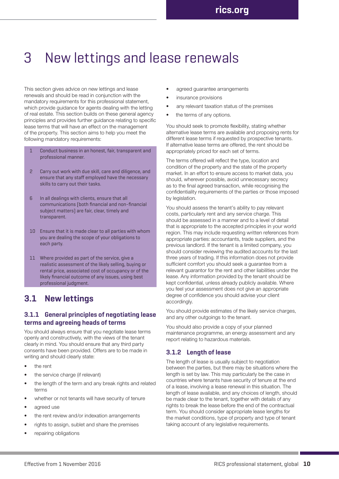## 3 New lettings and lease renewals

This section gives advice on new lettings and lease renewals and should be read in conjunction with the mandatory requirements for this professional statement, which provide guidance for agents dealing with the letting of real estate. This section builds on these general agency principles and provides further guidance relating to specific lease terms that will have an effect on the management of the property. This section aims to help you meet the following mandatory requirements:

- Conduct business in an honest, fair, transparent and professional manner.
- 2 Carry out work with due skill, care and diligence, and ensure that any staff employed have the necessary skills to carry out their tasks.
- 6 In all dealings with clients, ensure that all communications (both financial and non-financial subject matters) are fair, clear, timely and transparent.
- 10 Ensure that it is made clear to all parties with whom you are dealing the scope of your obligations to each party.
- 11 Where provided as part of the service, give a realistic assessment of the likely selling, buying or rental price, associated cost of occupancy or of the likely financial outcome of any issues, using best professional judgment.

### **3.1 New lettings**

#### **3.1.1 General principles of negotiating lease terms and agreeing heads of terms**

You should always ensure that you negotiate lease terms openly and constructively, with the views of the tenant clearly in mind. You should ensure that any third party consents have been provided. Offers are to be made in writing and should clearly state:

- the rent
- the service charge (if relevant)
- the length of the term and any break rights and related terms
- whether or not tenants will have security of tenure
- agreed use
- the rent review and/or indexation arrangements
- rights to assign, sublet and share the premises
- repairing obligations
- agreed guarantee arrangements
- insurance provisions
- any relevant taxation status of the premises
- the terms of any options.

You should seek to promote flexibility, stating whether alternative lease terms are available and proposing rents for different lease terms if requested by prospective tenants. If alternative lease terms are offered, the rent should be appropriately priced for each set of terms.

The terms offered will reflect the type, location and condition of the property and the state of the property market. In an effort to ensure access to market data, you should, wherever possible, avoid unnecessary secrecy as to the final agreed transaction, while recognising the confidentiality requirements of the parties or those imposed by legislation.

You should assess the tenant's ability to pay relevant costs, particularly rent and any service charge. This should be assessed in a manner and to a level of detail that is appropriate to the accepted principles in your world region. This may include requesting written references from appropriate parties: accountants, trade suppliers, and the previous landlord. If the tenant is a limited company, you should consider reviewing the audited accounts for the last three years of trading. If this information does not provide sufficient comfort you should seek a guarantee from a relevant guarantor for the rent and other liabilities under the lease. Any information provided by the tenant should be kept confidential, unless already publicly available. Where you feel your assessment does not give an appropriate degree of confidence you should advise your client accordingly.

You should provide estimates of the likely service charges, and any other outgoings to the tenant.

You should also provide a copy of your planned maintenance programme, an energy assessment and any report relating to hazardous materials.

#### **3.1.2 Length of lease**

The length of lease is usually subject to negotiation between the parties, but there may be situations where the length is set by law. This may particularly be the case in countries where tenants have security of tenure at the end of a lease, involving a lease renewal in this situation. The length of lease available, and any choices of length, should be made clear to the tenant, together with details of any rights to break the lease before the end of the contractual term. You should consider appropriate lease lengths for the market conditions, type of property and type of tenant taking account of any legislative requirements.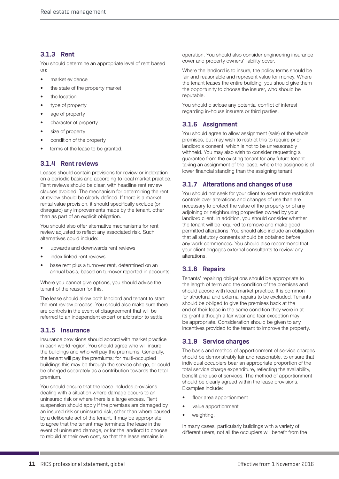#### **3.1.3 Rent**

You should determine an appropriate level of rent based on:

- market evidence
- the state of the property market
- the location
- type of property
- age of property
- character of property
- size of property
- condition of the property
- terms of the lease to be granted.

#### **3.1.4 Rent reviews**

Leases should contain provisions for review or indexation on a periodic basis and according to local market practice. Rent reviews should be clear, with headline rent review clauses avoided. The mechanism for determining the rent at review should be clearly defined. If there is a market rental value provision, it should specifically exclude (or disregard) any improvements made by the tenant, other than as part of an explicit obligation.

You should also offer alternative mechanisms for rent review adjusted to reflect any associated risk. Such alternatives could include:

- upwards and downwards rent reviews
- index-linked rent reviews
- base rent plus a turnover rent, determined on an annual basis, based on turnover reported in accounts.

Where you cannot give options, you should advise the tenant of the reason for this.

The lease should allow both landlord and tenant to start the rent review process. You should also make sure there are controls in the event of disagreement that will be referred to an independent expert or arbitrator to settle.

#### **3.1.5 Insurance**

Insurance provisions should accord with market practice in each world region. You should agree who will insure the buildings and who will pay the premiums. Generally, the tenant will pay the premiums; for multi-occupied buildings this may be through the service charge, or could be charged separately as a contribution towards the total premium.

You should ensure that the lease includes provisions dealing with a situation where damage occurs to an uninsured risk or where there is a large excess. Rent suspension should apply if the premises are damaged by an insured risk or uninsured risk, other than where caused by a deliberate act of the tenant. It may be appropriate to agree that the tenant may terminate the lease in the event of uninsured damage, or for the landlord to choose to rebuild at their own cost, so that the lease remains in

operation. You should also consider engineering insurance cover and property owners' liability cover.

Where the landlord is to insure, the policy terms should be fair and reasonable and represent value for money. Where the tenant leases the entire building, you should give them the opportunity to choose the insurer, who should be reputable.

You should disclose any potential conflict of interest regarding in-house insurers or third parties.

#### **3.1.6 Assignment**

You should agree to allow assignment (sale) of the whole premises, but may wish to restrict this to require prior landlord's consent, which is not to be unreasonably withheld. You may also wish to consider requesting a guarantee from the existing tenant for any future tenant taking an assignment of the lease, where the assignee is of lower financial standing than the assigning tenant

#### **3.1.7 Alterations and changes of use**

You should not seek for your client to exert more restrictive controls over alterations and changes of use than are necessary to protect the value of the property or of any adjoining or neighbouring properties owned by your landlord client. In addition, you should consider whether the tenant will be required to remove and make good permitted alterations. You should also include an obligation that all statutory consents should be obtained before any work commences. You should also recommend that your client engages external consultants to review any alterations.

### **3.1.8 Repairs**

Tenants' repairing obligations should be appropriate to the length of term and the condition of the premises and should accord with local market practice. It is common for structural and external repairs to be excluded. Tenants should be obliged to give the premises back at the end of their lease in the same condition they were in at its grant although a fair wear and tear exception may be appropriate. Consideration should be given to any incentives provided to the tenant to improve the property.

#### **3.1.9 Service charges**

The basis and method of apportionment of service charges should be demonstrably fair and reasonable, to ensure that individual occupiers bear an appropriate proportion of the total service charge expenditure, reflecting the availability, benefit and use of services. The method of apportionment should be clearly agreed within the lease provisions. Examples include:

- floor area apportionment
- value apportionment
- weighting.

In many cases, particularly buildings with a variety of different users, not all the occupiers will benefit from the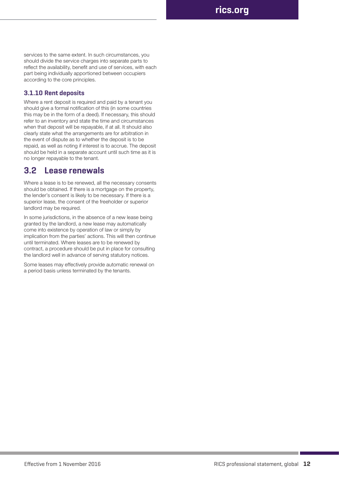services to the same extent. In such circumstances, you should divide the service charges into separate parts to reflect the availability, benefit and use of services, with each part being individually apportioned between occupiers according to the core principles.

#### **3.1.10 Rent deposits**

Where a rent deposit is required and paid by a tenant you should give a formal notification of this (in some countries this may be in the form of a deed). If necessary, this should refer to an inventory and state the time and circumstances when that deposit will be repayable, if at all. It should also clearly state what the arrangements are for arbitration in the event of dispute as to whether the deposit is to be repaid, as well as noting if interest is to accrue. The deposit should be held in a separate account until such time as it is no longer repayable to the tenant.

### **3.2 Lease renewals**

Where a lease is to be renewed, all the necessary consents should be obtained. If there is a mortgage on the property, the lender's consent is likely to be necessary. If there is a superior lease, the consent of the freeholder or superior landlord may be required.

In some jurisdictions, in the absence of a new lease being granted by the landlord, a new lease may automatically come into existence by operation of law or simply by implication from the parties' actions. This will then continue until terminated. Where leases are to be renewed by contract, a procedure should be put in place for consulting the landlord well in advance of serving statutory notices.

Some leases may effectively provide automatic renewal on a period basis unless terminated by the tenants.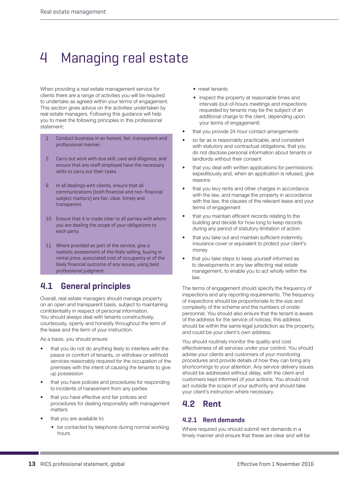# 4 Managing real estate

When providing a real estate management service for clients there are a range of activities you will be required to undertake as agreed within your terms of engagement. This section gives advice on the activities undertaken by real estate managers. Following this guidance will help you to meet the following principles in this professional statement:

- 1 Conduct business in an honest, fair, transparent and professional manner.
- 2 Carry out work with due skill, care and diligence, and ensure that any staff employed have the necessary skills to carry out their tasks.
- 6 In all dealings with clients, ensure that all communications (both financial and non-financial subject matters) are fair, clear, timely and transparent.
- 10 Ensure that it is made clear to all parties with whom you are dealing the scope of your obligations to each party.
- 11 Where provided as part of the service, give a realistic assessment of the likely selling, buying or rental price, associated cost of occupancy or of the likely financial outcome of any issues, using best professional judgment.

## **4.1 General principles**

Overall, real estate managers should manage property on an open and transparent basis, subject to maintaining confidentiality in respect of personal information. You should always deal with tenants constructively, courteously, openly and honestly throughout the term of the lease and the term of your instruction.

As a basis, you should ensure:

- that you do not do anything likely to interfere with the peace or comfort of tenants, or withdraw or withhold services reasonably required for the occupation of the premises with the intent of causing the tenants to give up possession
- that you have policies and procedures for responding to incidents of harassment from any parties
- that you have effective and fair policies and procedures for dealing responsibly with management matters
- that you are available to:
	- be contacted by telephone during normal working hours
- meet tenants
- inspect the property at reasonable times and intervals (out-of-hours meetings and inspections requested by tenants may be the subject of an additional charge to the client, depending upon your terms of engagement)
- that you provide 24-hour contact arrangements
- so far as is reasonably practicable, and consistent with statutory and contractual obligations, that you do not disclose personal information about tenants or landlords without their consent
- that you deal with written applications for permissions expeditiously and, when an application is refused, give reasons
- that you levy rents and other charges in accordance with the law, and manage the property in accordance with the law, the clauses of the relevant lease and your terms of engagement
- that you maintain efficient records relating to the building and decide for how long to keep records during any period of statutory limitation of action
- that you take out and maintain sufficient indemnity insurance cover or equivalent to protect your client's money
- that you take steps to keep yourself informed as to developments in any law affecting real estate management, to enable you to act wholly within the law.

The terms of engagement should specify the frequency of inspections and any reporting requirements. The frequency of inspections should be proportionate to the size and complexity of the scheme and the numbers of onsite personnel. You should also ensure that the tenant is aware of the address for the service of notices; this address should be within the same legal jurisdiction as the property, and could be your client's own address.

You should routinely monitor the quality and cost effectiveness of all services under your control. You should advise your clients and customers of your monitoring procedures and provide details of how they can bring any shortcomings to your attention. Any service delivery issues should be addressed without delay, with the client and customers kept informed of your actions. You should not act outside the scope of your authority and should take your client's instruction where necessary.

## **4.2 Rent**

#### **4.2.1 Rent demands**

Where required you should submit rent demands in a timely manner and ensure that these are clear and will be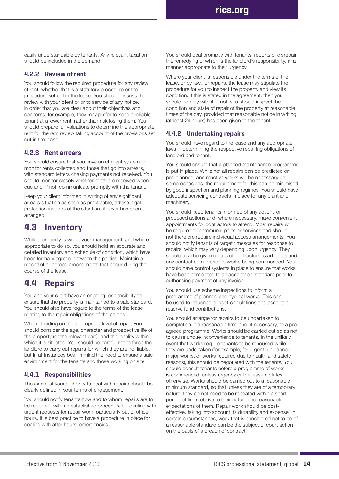Real estate management **rics.org**

easily understandable by tenants. Any relevant taxation should be included in the demand.

#### **4.2.2 Review of rent**

You should follow the required procedure for any review of rent, whether that is a statutory procedure or the procedure set out in the lease. You should discuss the review with your client prior to service of any notice, in order that you are clear about their objectives and concerns; for example, they may prefer to keep a reliable tenant at a lower rent, rather than risk losing them. You should prepare full valuations to determine the appropriate rent for the rent review taking account of the provisions set out in the lease.

#### **4.2.3 Rent arrears**

You should ensure that you have an efficient system to monitor rents collected and those that go into arrears, with standard letters chasing payments not received. You should monitor closely whether rents are received when due and, if not, communicate promptly with the tenant.

Keep your client informed in writing of any significant arrears situation as soon as practicable; advise legal protection insurers of the situation, if cover has been arranged.

### **4.3 Inventory**

While a property is within your management, and where appropriate to do so, you should hold an accurate and detailed inventory and schedule of condition, which have been formally agreed between the parties. Maintain a record of all agreed amendments that occur during the course of the lease.

### **4.4 Repairs**

You and your client have an ongoing responsibility to ensure that the property is maintained to a safe standard. You should also have regard to the terms of the lease relating to the repair obligations of the parties.

When deciding on the appropriate level of repair, you should consider the age, character and prospective life of the property (or the relevant part), and the locality within which it is situated. You should be careful not to force the landlord to carry out repairs for which they are not liable, but in all instances bear in mind the need to ensure a safe environment for the tenants and those working on site.

#### **4.4.1 Responsibilities**

The extent of your authority to deal with repairs should be clearly defined in your terms of engagement.

You should notify tenants how and to whom repairs are to be reported, with an established procedure for dealing with urgent requests for repair work, particularly out of office hours. It is best practice to have a procedure in place for dealing with after hours' emergencies.

You should deal promptly with tenants' reports of disrepair, the remedying of which is the landlord's responsibility, in a manner appropriate to their urgency.

Where your client is responsible under the terms of the lease, or by law, for repairs, the lease may stipulate the procedure for you to inspect the property and view its condition. If this is stated in the agreement, then you should comply with it. If not, you should inspect the condition and state of repair of the property at reasonable times of the day, provided that reasonable notice in writing (at least 24 hours) has been given to the tenant.

#### **4.4.2 Undertaking repairs**

You should have regard to the lease and any appropriate laws in determining the respective repairing obligations of landlord and tenant.

You should ensure that a planned maintenance programme is put in place. While not all repairs can be predicted or pre-planned, and reactive works will be necessary on some occasions, the requirement for this can be minimised by good inspection and planning regimes. You should have adequate servicing contracts in place for any plant and machinery.

You should keep tenants informed of any actions or proposed actions and, where necessary, make convenient appointments for contractors to attend. Most repairs will be required to communal parts or services and should not therefore require individual access arrangements. You should notify tenants of target timescales for response to repairs, which may vary depending upon urgency. They should also be given details of contractors, start dates and any contact details prior to works being commenced. You should have control systems in place to ensure that works have been completed to an acceptable standard prior to authorising payment of any invoice.

You should use scheme inspections to inform a programme of planned and cyclical works. This can be used to influence budget calculations and ascertain reserve fund contributions.

You should arrange for repairs to be undertaken to completion in a reasonable time and, if necessary, to a preagreed programme. Works should be carried out so as not to cause undue inconvenience to tenants. In the unlikely event that works require tenants to be rehoused while they are undertaken (for example, for urgent, unplanned major works, or works required due to health and safety reasons), this should be negotiated with the tenants. You should consult tenants before a programme of works is commenced, unless urgency or the lease dictates otherwise. Works should be carried out to a reasonable minimum standard, so that unless they are of a temporary nature, they do not need to be repeated within a short period of time relative to their nature and reasonable expectations of them. Repair work should be costeffective, taking into account its durability and expense. In certain circumstances, work that is considered not to be of a reasonable standard can be the subject of court action on the basis of a breach of contract.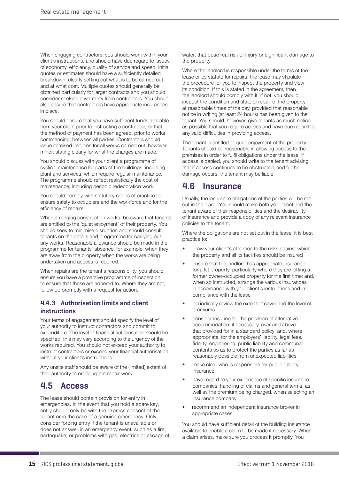When engaging contractors, you should work within your client's instructions, and should have due regard to issues of economy, efficiency, quality of service and speed. Initial quotes or estimates should have a sufficiently detailed breakdown, clearly setting out what is to be carried out and at what cost. Multiple quotes should generally be obtained particularly for larger contracts and you should consider seeking a warranty from contractors. You should also ensure that contractors have appropriate insurances in place.

You should ensure that you have sufficient funds available from your client prior to instructing a contractor, or that the method of payment has been agreed, prior to works commencing, between all parties. Contractors should issue itemised invoices for all works carried out, however minor, stating clearly for what the charges are made.

You should discuss with your client a programme of cyclical maintenance for parts of the buildings, including plant and services, which require regular maintenance. The programme should reflect realistically the cost of maintenance, including periodic redecoration work.

You should comply with statutory codes of practice to ensure safety to occupiers and the workforce and for the efficiency of repairs.

When arranging construction works, be aware that tenants are entitled to the 'quiet enjoyment' of their property. You should seek to minimise disruption and should consult tenants on the details and programme for carrying out any works. Reasonable allowance should be made in the programme for tenants' absence, for example, when they are away from the property when the works are being undertaken and access is required.

When repairs are the tenant's responsibility, you should ensure you have a proactive programme of inspection to ensure that these are adhered to. Where they are not, follow up promptly with a request for action.

#### **4.4.3 Authorisation limits and client instructions**

Your terms of engagement should specify the level of your authority to instruct contractors and commit to expenditure. The level of financial authorisation should be specified; this may vary according to the urgency of the works required. You should not exceed your authority to instruct contractors or exceed your financial authorisation without your client's instructions.

Any onsite staff should be aware of the (limited) extent of their authority to order urgent repair work.

### **4.5 Access**

The lease should contain provision for entry in emergencies. In the event that you hold a spare key, entry should only be with the express consent of the tenant or in the case of a genuine emergency. Only consider forcing entry if the tenant is unavailable or does not answer in an emergency event, such as a fire, earthquake, or problems with gas, electrics or escape of water, that pose real risk of injury or significant damage to the property.

Where the landlord is responsible under the terms of the lease or by statute for repairs, the lease may stipulate the procedure for you to inspect the property and view its condition. If this is stated in the agreement, then the landlord should comply with it. If not, you should inspect the condition and state of repair of the property at reasonable times of the day, provided that reasonable notice in writing (at least 24 hours) has been given to the tenant. You should, however, give tenants as much notice as possible that you require access and have due regard to any valid difficulties in providing access.

The tenant is entitled to quiet enjoyment of the property. Tenants should be reasonable in allowing access to the premises in order to fulfil obligations under the lease. If access is denied, you should write to the tenant advising that if access continues to be obstructed, and further damage occurs, the tenant may be liable.

## **4.6 Insurance**

Usually, the insurance obligations of the parties will be set out in the lease. You should make both your client and the tenant aware of their responsibilities and the desirability of insurance and provide a copy of any relevant insurance policies to the tenant.

Where the obligations are not set out in the lease, it is best practice to:

- draw your client's attention to the risks against which the property and all its facilities should be insured
- ensure that the landlord has appropriate insurance for a let property, particularly where they are letting a former owner-occupied property for the first time; and, when so instructed, arrange the various insurances in accordance with your client's instructions and in compliance with the lease
- periodically review the extent of cover and the level of premiums
- consider insuring for the provision of alternative accommodation, if necessary, over and above that provided for in a standard policy; and, where appropriate, for the employers' liability, legal fees, fidelity, engineering, public liability and communal contents so as to protect the parties as far as reasonably possible from unexpected liabilities
- make clear who is responsible for public liability insurance
- have regard to your experience of specific insurance companies' handling of claims and general terms, as well as the premium being charged, when selecting an insurance company
- recommend an independent insurance broker in appropriate cases.

You should have sufficient detail of the building insurance available to enable a claim to be made if necessary. When a claim arises, make sure you process it promptly. You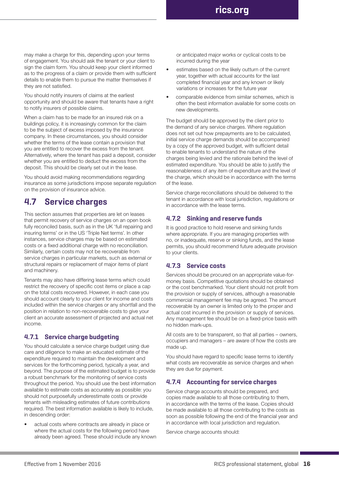may make a charge for this, depending upon your terms of engagement. You should ask the tenant or your client to sign the claim form. You should keep your client informed as to the progress of a claim or provide them with sufficient details to enable them to pursue the matter themselves if they are not satisfied.

You should notify insurers of claims at the earliest opportunity and should be aware that tenants have a right to notify insurers of possible claims.

When a claim has to be made for an insured risk on a buildings policy, it is increasingly common for the claim to be the subject of excess imposed by the insurance company. In these circumstances, you should consider whether the terms of the lease contain a provision that you are entitled to recover the excess from the tenant. Alternatively, where the tenant has paid a deposit, consider whether you are entitled to deduct the excess from the deposit. This should be clearly set out in the lease.

You should avoid making recommendations regarding insurance as some jurisdictions impose separate regulation on the provision of insurance advice.

## **4.7 Service charges**

This section assumes that properties are let on leases that permit recovery of service charges on an open book fully reconciled basis, such as in the UK 'full repairing and insuring terms' or in the US 'Triple Net terms'. In other instances, service charges may be based on estimated costs or a fixed additional charge with no reconciliation. Similarly, certain costs may not be recoverable from service charges in particular markets, such as external or structural repairs or replacement of major items of plant and machinery.

Tenants may also have differing lease terms which could restrict the recovery of specific cost items or place a cap on the total costs recovered. However, in each case you should account clearly to your client for income and costs included within the service charges or any shortfall and the position in relation to non-recoverable costs to give your client an accurate assessment of projected and actual net income.

#### **4.7.1 Service charge budgeting**

You should calculate a service charge budget using due care and diligence to make an educated estimate of the expenditure required to maintain the development and services for the forthcoming period, typically a year, and beyond. The purpose of the estimated budget is to provide a robust benchmark for the monitoring of service costs throughout the period. You should use the best information available to estimate costs as accurately as possible: you should not purposefully underestimate costs or provide tenants with misleading estimates of future contributions required. The best information available is likely to include, in descending order:

• actual costs where contracts are already in place or where the actual costs for the following period have already been agreed. These should include any known or anticipated major works or cyclical costs to be incurred during the year

- estimates based on the likely outturn of the current year, together with actual accounts for the last completed financial year and any known or likely variations or increases for the future year
- comparable evidence from similar schemes, which is often the best information available for some costs on new developments.

The budget should be approved by the client prior to the demand of any service charges. Where regulation does not set out how prepayments are to be calculated, initial service charge demands should be accompanied by a copy of the approved budget, with sufficient detail to enable tenants to understand the nature of the charges being levied and the rationale behind the level of estimated expenditure. You should be able to justify the reasonableness of any item of expenditure and the level of the charge, which should be in accordance with the terms of the lease.

Service charge reconciliations should be delivered to the tenant in accordance with local jurisdiction, regulations or in accordance with the lease terms.

#### **4.7.2 Sinking and reserve funds**

It is good practice to hold reserve and sinking funds where appropriate. If you are managing properties with no, or inadequate, reserve or sinking funds, and the lease permits, you should recommend future adequate provision to your clients.

#### **4.7.3 Service costs**

Services should be procured on an appropriate value-formoney basis. Competitive quotations should be obtained or the cost benchmarked. Your client should not profit from the provision or supply of services, although a reasonable commercial management fee may be agreed. The amount recoverable by an owner is limited only to the proper and actual cost incurred in the provision or supply of services. Any management fee should be on a fixed-price basis with no hidden mark-ups.

All costs are to be transparent, so that all parties – owners, occupiers and managers – are aware of how the costs are made up.

You should have regard to specific lease terms to identify what costs are recoverable as service charges and when they are due for payment.

#### **4.7.4 Accounting for service charges**

Service charge accounts should be prepared, and copies made available to all those contributing to them, in accordance with the terms of the lease. Copies should be made available to all those contributing to the costs as soon as possible following the end of the financial year and in accordance with local jurisdiction and regulation.

Service charge accounts should: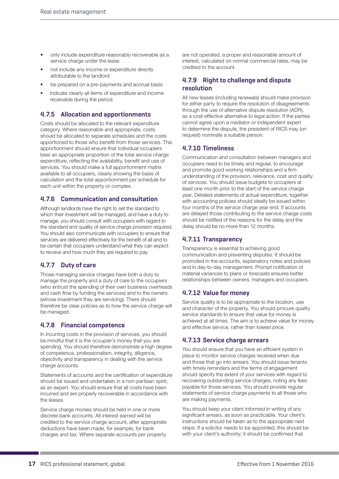- only include expenditure reasonably recoverable as a service charge under the lease
- not include any income or expenditure directly attributable to the landlord
- be prepared on a pre-payments and accrual basis
- indicate clearly all items of expenditure and income receivable during the period.

#### **4.7.5 Allocation and apportionments**

Costs should be allocated to the relevant expenditure category. Where reasonable and appropriate, costs should be allocated to separate schedules and the costs apportioned to those who benefit from those services. This apportionment should ensure that individual occupiers bear an appropriate proportion of the total service charge expenditure, reflecting the availability, benefit and use of services. You should make a full apportionment matrix available to all occupiers, clearly showing the basis of calculation and the total apportionment per schedule for each unit within the property or complex.

#### **4.7.6 Communication and consultation**

Although landlords have the right to set the standard to which their investment will be managed, and have a duty to manage, you should consult with occupiers with regard to the standard and quality of service charge provision required. You should also communicate with occupiers to ensure that services are delivered effectively for the benefit of all and to be certain that occupiers understand what they can expect to receive and how much they are required to pay.

#### **4.7.7 Duty of care**

Those managing service charges have both a duty to manage the property and a duty of care to the occupiers (who entrust the spending of their own business overheads and cash flow by funding the services) and to the owners (whose investment they are servicing). There should therefore be clear policies as to how the service charge will be managed.

#### **4.7.8 Financial competence**

In incurring costs in the provision of services, you should be mindful that it is the occupier's money that you are spending. You should therefore demonstrate a high degree of competence, professionalism, integrity, diligence, objectivity and transparency in dealing with the service charge accounts.

Statements of accounts and the certification of expenditure should be issued and undertaken in a non-partisan spirit, as an expert. You should ensure that all costs have been incurred and are properly recoverable in accordance with the leases.

Service charge monies should be held in one or more discrete bank accounts. All interest earned will be credited to the service charge account, after appropriate deductions have been made, for example, for bank charges and tax. Where separate accounts per property

are not operated, a proper and reasonable amount of interest, calculated on normal commercial rates, may be credited to the account.

#### **4.7.9 Right to challenge and dispute resolution**

All new leases (including renewals) should make provision for either party to require the resolution of disagreements through the use of alternative dispute resolution (ADR), as a cost-effective alternative to legal action. If the parties cannot agree upon a mediator or independent expert to determine the dispute, the president of RICS may (on request) nominate a suitable person.

#### **4.7.10 Timeliness**

Communication and consultation between managers and occupiers need to be timely and regular, to encourage and promote good working relationships and a firm understanding of the provision, relevance, cost and quality of services. You should issue budgets to occupiers at least one month prior to the start of the service charge year. Detailed statements of actual expenditure, together with accounting policies should ideally be issued within four months of the service charge year end. If accounts are delayed those contributing to the service charge costs should be notified of the reasons for the delay and the delay should be no more than 12 months.

#### **4.7.11 Transparency**

Transparency is essential to achieving good communication and preventing disputes. It should be promoted in the accounts, explanatory notes and policies and in day-to-day management. Prompt notification of material variances to plans or forecasts ensures better relationships between owners, managers and occupiers.

#### **4.7.12 Value for money**

Service quality is to be appropriate to the location, use and character of the property. You should procure quality service standards to ensure that value for money is achieved at all times. The aim is to achieve value for money and effective service, rather than lowest price.

#### **4.7.13 Service charge arrears**

You should ensure that you have an efficient system in place to monitor service charges received when due and those that go into arrears. You should issue tenants with timely reminders and the terms of engagement should specify the extent of your services with regard to recovering outstanding service charges, noting any fees payable for those services. You should provide regular statements of service charge payments to all those who are making payments.

You should keep your client informed in writing of any significant arrears, as soon as practicable. Your client's instructions should be taken as to the appropriate next steps. If a solicitor needs to be appointed, this should be with your client's authority; it should be confirmed that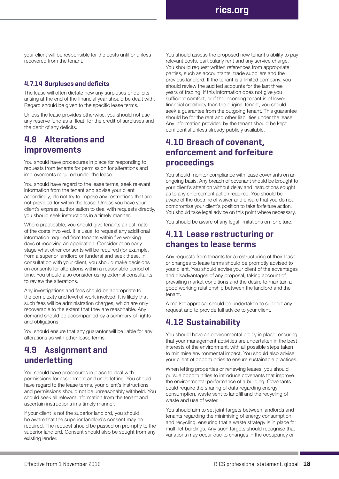Real estate management **rics.org**

your client will be responsible for the costs until or unless recovered from the tenant.

#### **4.7.14 Surpluses and deficits**

The lease will often dictate how any surpluses or deficits arising at the end of the financial year should be dealt with. Regard should be given to the specific lease terms.

Unless the lease provides otherwise, you should not use any reserve fund as a 'float' for the credit of surpluses and the debit of any deficits.

### **4.8 Alterations and improvements**

You should have procedures in place for responding to requests from tenants for permission for alterations and improvements required under the lease.

You should have regard to the lease terms, seek relevant information from the tenant and advise your client accordingly; do not try to impose any restrictions that are not provided for within the lease. Unless you have your client's express authorisation to deal with requests directly, you should seek instructions in a timely manner.

Where practicable, you should give tenants an estimate of the costs involved. It is usual to request any additional information required from tenants within five working days of receiving an application. Consider at an early stage what other consents will be required (for example, from a superior landlord or funders) and seek these. In consultation with your client, you should make decisions on consents for alterations within a reasonable period of time. You should also consider using external consultants to review the alterations.

Any investigations and fees should be appropriate to the complexity and level of work involved. It is likely that such fees will be administration charges, which are only recoverable to the extent that they are reasonable. Any demand should be accompanied by a summary of rights and obligations.

You should ensure that any guarantor will be liable for any alterations as with other lease terms.

### **4.9 Assignment and underletting**

You should have procedures in place to deal with permissions for assignment and underletting. You should have regard to the lease terms, your client's instructions and permissions should not be unreasonably withheld. You should seek all relevant information from the tenant and ascertain instructions in a timely manner.

If your client is not the superior landlord, you should be aware that the superior landlord's consent may be required. The request should be passed on promptly to the superior landlord. Consent should also be sought from any existing lender.

You should assess the proposed new tenant's ability to pay relevant costs, particularly rent and any service charge. You should request written references from appropriate parties, such as accountants, trade suppliers and the previous landlord. If the tenant is a limited company, you should review the audited accounts for the last three years of trading. If this information does not give you sufficient comfort, or if the incoming tenant is of lower financial credibility than the original tenant, you should seek a guarantee from the outgoing tenant. This guarantee should be for the rent and other liabilities under the lease. Any information provided by the tenant should be kept confidential unless already publicly available.

## **4.10 Breach of covenant, enforcement and forfeiture proceedings**

You should monitor compliance with lease covenants on an ongoing basis. Any breach of covenant should be brought to your client's attention without delay and instructions sought as to any enforcement action required. You should be aware of the doctrine of waiver and ensure that you do not compromise your client's position to take forfeiture action. You should take legal advice on this point where necessary.

You should be aware of any legal limitations on forfeiture.

### **4.11 Lease restructuring or changes to lease terms**

Any requests from tenants for a restructuring of their lease or changes to lease terms should be promptly advised to your client. You should advise your client of the advantages and disadvantages of any proposal, taking account of prevailing market conditions and the desire to maintain a good working relationship between the landlord and the tenant.

A market appraisal should be undertaken to support any request and to provide full advice to your client.

### **4.12 Sustainability**

You should have an environmental policy in place, ensuring that your management activities are undertaken in the best interests of the environment, with all possible steps taken to minimise environmental impact. You should also advise your client of opportunities to ensure sustainable practices.

When letting properties or renewing leases, you should pursue opportunities to introduce covenants that improve the environmental performance of a building. Covenants could require the sharing of data regarding energy consumption, waste sent to landfill and the recycling of waste and use of water.

You should aim to set joint targets between landlords and tenants regarding the minimising of energy consumption, and recycling, ensuring that a waste strategy is in place for multi-let buildings. Any such targets should recognise that variations may occur due to changes in the occupancy or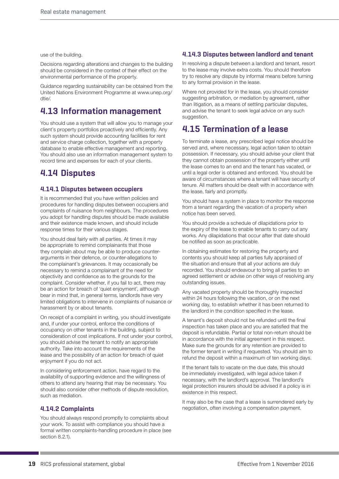use of the building.

Decisions regarding alterations and changes to the building should be considered in the context of their effect on the environmental performance of the property.

Guidance regarding sustainability can be obtained from the United Nations Environment Programme at www.unep.org/ dtie/.

## **4.13 Information management**

You should use a system that will allow you to manage your client's property portfolios proactively and efficiently. Any such system should provide accounting facilities for rent and service charge collection, together with a property database to enable effective management and reporting. You should also use an information management system to record time and expenses for each of your clients.

## **4.14 Disputes**

#### **4.14.1 Disputes between occupiers**

It is recommended that you have written policies and procedures for handling disputes between occupiers and complaints of nuisance from neighbours. The procedures you adopt for handling disputes should be made available and their existence made known, and should include response times for their various stages.

You should deal fairly with all parties. At times it may be appropriate to remind complainants that those they complain about may be able to produce counterarguments in their defence, or counter-allegations to the complainant's grievances. It may occasionally be necessary to remind a complainant of the need for objectivity and confidence as to the grounds for the complaint. Consider whether, if you fail to act, there may be an action for breach of 'quiet enjoyment', although bear in mind that, in general terms, landlords have very limited obligations to intervene in complaints of nuisance or harassment by or about tenants.

On receipt of a complaint in writing, you should investigate and, if under your control, enforce the conditions of occupancy on other tenants in the building, subject to consideration of cost implications. If not under your control, you should advise the tenant to notify an appropriate authority. Take into account the requirements of the lease and the possibility of an action for breach of quiet enjoyment if you do not act.

In considering enforcement action, have regard to the availability of supporting evidence and the willingness of others to attend any hearing that may be necessary. You should also consider other methods of dispute resolution, such as mediation.

#### **4.14.2 Complaints**

You should always respond promptly to complaints about your work. To assist with compliance you should have a formal written complaints-handling procedure in place (see section 8.2.1).

#### **4.14.3 Disputes between landlord and tenant**

In resolving a dispute between a landlord and tenant, resort to the lease may involve extra costs. You should therefore try to resolve any dispute by informal means before turning to any formal provision in the lease.

Where not provided for in the lease, you should consider suggesting arbitration, or mediation by agreement, rather than litigation, as a means of settling particular disputes, and advise the tenant to seek legal advice on any such suggestion.

## **4.15 Termination of a lease**

To terminate a lease, any prescribed legal notice should be served and, where necessary, legal action taken to obtain possession. If necessary, you should advise your client that they cannot obtain possession of the property either until the lease comes to an end and the tenant has vacated, or until a legal order is obtained and enforced. You should be aware of circumstances where a tenant will have security of tenure. All matters should be dealt with in accordance with the lease, fairly and promptly.

You should have a system in place to monitor the response from a tenant regarding the vacation of a property when notice has been served.

You should provide a schedule of dilapidations prior to the expiry of the lease to enable tenants to carry out any works. Any dilapidations that occur after that date should be notified as soon as practicable.

In obtaining estimates for restoring the property and contents you should keep all parties fully appraised of the situation and ensure that all your actions are duly recorded. You should endeavour to bring all parties to an agreed settlement or advise on other ways of resolving any outstanding issues.

Any vacated property should be thoroughly inspected within 24 hours following the vacation, or on the next working day, to establish whether it has been returned to the landlord in the condition specified in the lease.

A tenant's deposit should not be refunded until the final inspection has taken place and you are satisfied that the deposit is refundable. Partial or total non-return should be in accordance with the initial agreement in this respect. Make sure the grounds for any retention are provided to the former tenant in writing if requested. You should aim to refund the deposit within a maximum of ten working days.

If the tenant fails to vacate on the due date, this should be immediately investigated, with legal advice taken if necessary, with the landlord's approval. The landlord's legal protection insurers should be advised if a policy is in existence in this respect.

It may also be the case that a lease is surrendered early by negotiation, often involving a compensation payment.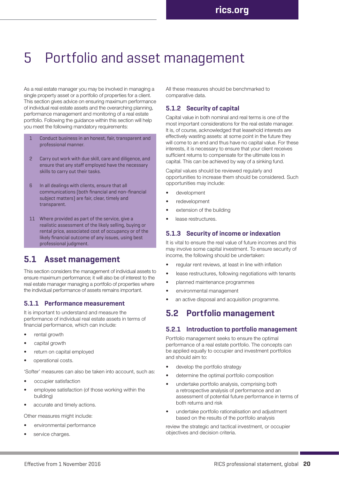## 5 Portfolio and asset management

As a real estate manager you may be involved in managing a single property asset or a portfolio of properties for a client. This section gives advice on ensuring maximum performance of individual real estate assets and the overarching planning, performance management and monitoring of a real estate portfolio. Following the guidance within this section will help you meet the following mandatory requirements:

- 1 Conduct business in an honest, fair, transparent and professional manner.
- 2 Carry out work with due skill, care and diligence, and ensure that any staff employed have the necessary skills to carry out their tasks.
- 6 In all dealings with clients, ensure that all communications (both financial and non-financial subject matters) are fair, clear, timely and transparent.
- 11 Where provided as part of the service, give a realistic assessment of the likely selling, buying or rental price, associated cost of occupancy or of the likely financial outcome of any issues, using best professional judgment.

### **5.1 Asset management**

This section considers the management of individual assets to ensure maximum performance; it will also be of interest to the real estate manager managing a portfolio of properties where the individual performance of assets remains important.

#### **5.1.1 Performance measurement**

It is important to understand and measure the performance of individual real estate assets in terms of financial performance, which can include:

- rental growth
- capital growth
- return on capital employed
- operational costs.

'Softer' measures can also be taken into account, such as:

- occupier satisfaction
- employee satisfaction (of those working within the building)
- accurate and timely actions.

Other measures might include:

- environmental performance
- service charges.

All these measures should be benchmarked to comparative data.

### **5.1.2 Security of capital**

Capital value in both nominal and real terms is one of the most important considerations for the real estate manager. It is, of course, acknowledged that leasehold interests are effectively wasting assets: at some point in the future they will come to an end and thus have no capital value. For these interests, it is necessary to ensure that your client receives sufficient returns to compensate for the ultimate loss in capital. This can be achieved by way of a sinking fund.

Capital values should be reviewed regularly and opportunities to increase them should be considered. Such opportunities may include:

- development
- redevelopment
- extension of the building
- lease restructures.

#### **5.1.3 Security of income or indexation**

It is vital to ensure the real value of future incomes and this may involve some capital investment. To ensure security of income, the following should be undertaken:

- regular rent reviews, at least in line with inflation
- lease restructures, following negotiations with tenants
- planned maintenance programmes
- environmental management
- an active disposal and acquisition programme.

## **5.2 Portfolio management**

#### **5.2.1 Introduction to portfolio management**

Portfolio management seeks to ensure the optimal performance of a real estate portfolio. The concepts can be applied equally to occupier and investment portfolios and should aim to:

- develop the portfolio strategy
- determine the optimal portfolio composition
- undertake portfolio analysis, comprising both a retrospective analysis of performance and an assessment of potential future performance in terms of both returns and risk
- undertake portfolio rationalisation and adjustment based on the results of the portfolio analysis

review the strategic and tactical investment, or occupier objectives and decision criteria.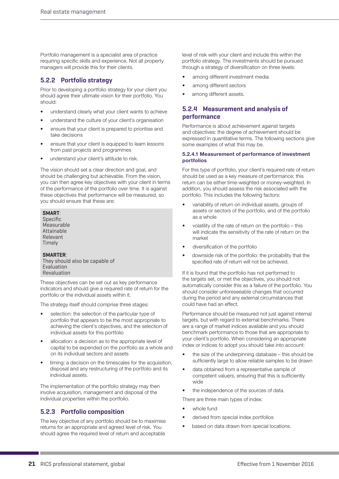Portfolio management is a specialist area of practice requiring specific skills and experience. Not all property managers will provide this for their clients.

#### **5.2.2 Portfolio strategy**

Prior to developing a portfolio strategy for your client you should agree their ultimate vision for their portfolio. You should:

- understand clearly what your client wants to achieve
- understand the culture of your client's organisation
- ensure that your client is prepared to prioritise and take decisions
- ensure that your client is equipped to learn lessons from past projects and programmes
- understand your client's attitude to risk.

The vision should set a clear direction and goal, and should be challenging but achievable. From the vision, you can then agree key objectives with your client in terms of the performance of the portfolio over time. It is against these objectives that performance will be measured, so you should ensure that these are:

#### **SMART**:

Specific Measurable Attainable Relevant Timely

#### **SMARTER**: They should also be capable of Evaluation Revaluation

These objectives can be set out as key performance indicators and should give a required rate of return for the portfolio or the individual assets within it.

The strategy itself should comprise three stages:

- selection: the selection of the particular type of portfolio that appears to be the most appropriate to achieving the client's objectives, and the selection of individual assets for this portfolio
- allocation: a decision as to the appropriate level of capital to be expended on the portfolio as a whole and on its individual sectors and assets
- timing: a decision on the timescales for the acquisition, disposal and any restructuring of the portfolio and its individual assets.

The implementation of the portfolio strategy may then involve acquisition, management and disposal of the individual properties within the portfolio.

#### **5.2.3 Portfolio composition**

The key objective of any portfolio should be to maximise returns for an appropriate and agreed level of risk. You should agree the required level of return and acceptable

level of risk with your client and include this within the portfolio strategy. The investments should be pursued through a strategy of diversification on three levels:

- among different investment media
- among different sectors
- among different assets.

#### **5.2.4 Measurement and analysis of performance**

Performance is about achievement against targets and objectives: the degree of achievement should be expressed in quantitative terms. The following sections give some examples of what this may be.

#### **5.2.4.1 Measurement of performance of investment portfolios**

For this type of portfolio, your client's required rate of return should be used as a key measure of performance; this return can be either time-weighted or money-weighted. In addition, you should assess the risk associated with the portfolio. This includes the following factors:

- variability of return on individual assets, groups of assets or sectors of the portfolio, and of the portfolio as a whole
- volatility of the rate of return on the portfolio this will indicate the sensitivity of the rate of return on the market
- diversification of the portfolio
- downside risk of the portfolio: the probability that the specified rate of return will not be achieved.

If it is found that the portfolio has not performed to the targets set, or met the objectives, you should not automatically consider this as a failure of the portfolio. You should consider unforeseeable changes that occurred during the period and any external circumstances that could have had an effect.

Performance should be measured not just against internal targets, but with regard to external benchmarks. There are a range of market indices available and you should benchmark performance to those that are appropriate to your client's portfolio. When considering an appropriate index or indices to adopt you should take into account:

- the size of the underpinning database this should be sufficiently large to allow reliable samples to be drawn
- data obtained from a representative sample of competent valuers, ensuring that this is sufficiently wide
- the independence of the sources of data.

There are three main types of index:

- whole fund
- derived from special index portfolios
- based on data drawn from special locations.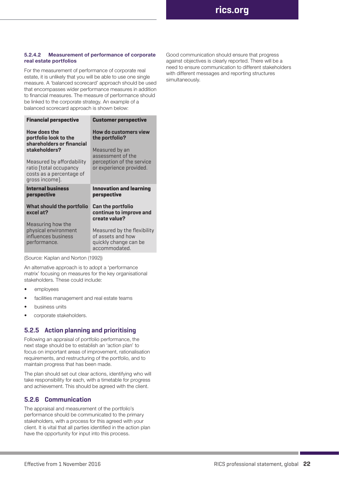#### **5.2.4.2 Measurement of performance of corporate real estate portfolios**

For the measurement of performance of corporate real estate, it is unlikely that you will be able to use one single measure. A 'balanced scorecard' approach should be used that encompasses wider performance measures in addition to financial measures. The measure of performance should be linked to the corporate strategy. An example of a balanced scorecard approach is shown below:

| <b>Customer perspective</b>                                                                |  |  |
|--------------------------------------------------------------------------------------------|--|--|
| How do customers view<br>the portfolio?                                                    |  |  |
| Measured by an<br>assessment of the                                                        |  |  |
| perception of the service<br>or experience provided.                                       |  |  |
| <b>Innovation and learning</b><br>perspective                                              |  |  |
| <b>Can the portfolio</b><br>continue to improve and<br>create value?                       |  |  |
| Measured by the flexibility<br>of assets and how<br>quickly change can be<br>accommodated. |  |  |
|                                                                                            |  |  |

(Source: Kaplan and Norton (1992))

An alternative approach is to adopt a 'performance matrix' focusing on measures for the key organisational stakeholders. These could include:

- employees
- facilities management and real estate teams
- business units
- corporate stakeholders.

#### **5.2.5 Action planning and prioritising**

Following an appraisal of portfolio performance, the next stage should be to establish an 'action plan' to focus on important areas of improvement, rationalisation requirements, and restructuring of the portfolio, and to maintain progress that has been made.

The plan should set out clear actions, identifying who will take responsibility for each, with a timetable for progress and achievement. This should be agreed with the client.

#### **5.2.6 Communication**

The appraisal and measurement of the portfolio's performance should be communicated to the primary stakeholders, with a process for this agreed with your client. It is vital that all parties identified in the action plan have the opportunity for input into this process.

Good communication should ensure that progress against objectives is clearly reported. There will be a need to ensure communication to different stakeholders with different messages and reporting structures simultaneously.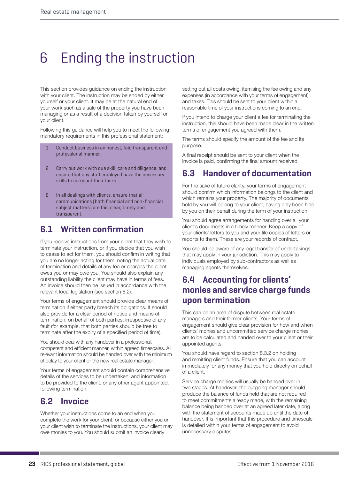# 6 Ending the instruction

This section provides guidance on ending the instruction with your client. The instruction may be ended by either yourself or your client. It may be at the natural end of your work such as a sale of the property you have been managing or as a result of a decision taken by yourself or your client.

Following this guidance will help you to meet the following mandatory requirements in this professional statement:

- 1 Conduct business in an honest, fair, transparent and professional manner.
- 2 Carry out work with due skill, care and diligence, and ensure that any staff employed have the necessary skills to carry out their tasks.
- 6 In all dealings with clients, ensure that all communications (both financial and non-financial subject matters) are fair, clear, timely and transparent.

## **6.1 Written confirmation**

If you receive instructions from your client that they wish to terminate your instruction, or if you decide that you wish to cease to act for them, you should confirm in writing that you are no longer acting for them, noting the actual date of termination and details of any fee or charges the client owes you or may owe you. You should also explain any outstanding liability the client may have in terms of fees. An invoice should then be issued in accordance with the relevant local legislation (see section 6.2).

Your terms of engagement should provide clear means of termination if either party breach its obligations. It should also provide for a clear period of notice and means of termination, on behalf of both parties, irrespective of any fault (for example, that both parties should be free to terminate after the expiry of a specified period of time).

You should deal with any handover in a professional, competent and efficient manner, within agreed timescales. All relevant information should be handed over with the minimum of delay to your client or the new real estate manager.

Your terms of engagement should contain comprehensive details of the services to be undertaken, and information to be provided to the client, or any other agent appointed, following termination.

## **6.2 Invoice**

Whether your instructions come to an end when you complete the work for your client, or because either you or your client wish to terminate the instructions, your client may owe monies to you. You should submit an invoice clearly

setting out all costs owing, itemising the fee owing and any expenses (in accordance with your terms of engagement) and taxes. This should be sent to your client within a reasonable time of your instructions coming to an end.

If you intend to charge your client a fee for terminating the instruction, this should have been made clear in the written terms of engagement you agreed with them.

The terms should specify the amount of the fee and its purpose.

A final receipt should be sent to your client when the invoice is paid, confirming the final amount received.

## **6.3 Handover of documentation**

For the sake of future clarity, your terms of engagement should confirm which information belongs to the client and which remains your property. The majority of documents held by you will belong to your client, having only been held by you on their behalf during the term of your instruction.

You should agree arrangements for handing over all your client's documents in a timely manner. Keep a copy of your clients' letters to you and your file copies of letters or reports to them. These are your records of contract.

You should be aware of any legal transfer of undertakings that may apply in your jurisdiction. This may apply to individuals employed by sub-contractors as well as managing agents themselves.

## **6.4 Accounting for clients' monies and service charge funds upon termination**

This can be an area of dispute between real estate managers and their former clients. Your terms of engagement should give clear provision for how and when clients' monies and uncommitted service charge monies are to be calculated and handed over to your client or their appointed agents.

You should have regard to section 8.3.2 on holding and remitting client funds. Ensure that you can account immediately for any money that you hold directly on behalf of a client.

Service charge monies will usually be handed over in two stages. At handover, the outgoing manager should produce the balance of funds held that are not required to meet commitments already made, with the remaining balance being handed over at an agreed later date, along with the statement of accounts made up until the date of handover. It is important that this procedure and timescale is detailed within your terms of engagement to avoid unnecessary disputes.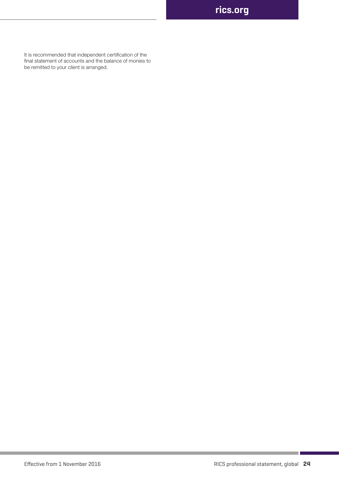Real estate management **rics.org**

It is recommended that independent certification of the final statement of accounts and the balance of monies to be remitted to your client is arranged.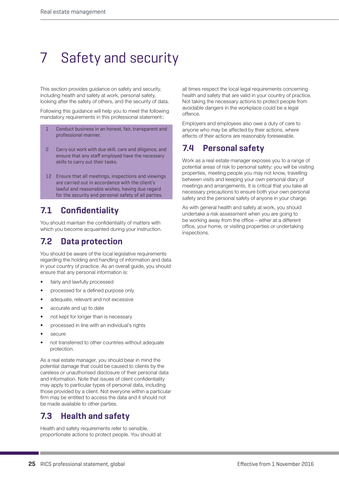# 7 Safety and security

This section provides guidance on safety and security, including health and safety at work, personal safety, looking after the safety of others, and the security of data.

Following this guidance will help you to meet the following mandatory requirements in this professional statement::

- 1 Conduct business in an honest, fair, transparent and professional manner.
- 2 Carry out work with due skill, care and diligence, and ensure that any staff employed have the necessary skills to carry out their tasks.
- 12 Ensure that all meetings, inspections and viewings are carried out in accordance with the client's lawful and reasonable wishes, having due regard for the security and personal safety of all parties.

## **7.1 Confidentiality**

You should maintain the confidentiality of matters with which you become acquainted during your instruction.

## **7.2 Data protection**

You should be aware of the local legislative requirements regarding the holding and handling of information and data in your country of practice. As an overall guide, you should ensure that any personal information is:

- fairly and lawfully processed
- processed for a defined purpose only
- adequate, relevant and not excessive
- accurate and up to date
- not kept for longer than is necessary
- processed in line with an individual's rights
- secure
- not transferred to other countries without adequate protection.

As a real estate manager, you should bear in mind the potential damage that could be caused to clients by the careless or unauthorised disclosure of their personal data and information. Note that issues of client confidentiality may apply to particular types of personal data, including those provided by a client. Not everyone within a particular firm may be entitled to access the data and it should not be made available to other parties.

## **7.3 Health and safety**

Health and safety requirements refer to sensible, proportionate actions to protect people. You should at all times respect the local legal requirements concerning health and safety that are valid in your country of practice. Not taking the necessary actions to protect people from avoidable dangers in the workplace could be a legal offence.

Employers and employees also owe a duty of care to anyone who may be affected by their actions, where effects of their actions are reasonably foreseeable.

## **7.4 Personal safety**

Work as a real estate manager exposes you to a range of potential areas of risk to personal safety: you will be visiting properties, meeting people you may not know, travelling between visits and keeping your own personal diary of meetings and arrangements. It is critical that you take all necessary precautions to ensure both your own personal safety and the personal safety of anyone in your charge.

As with general health and safety at work, you should undertake a risk assessment when you are going to be working away from the office – either at a different office, your home, or visiting properties or undertaking inspections.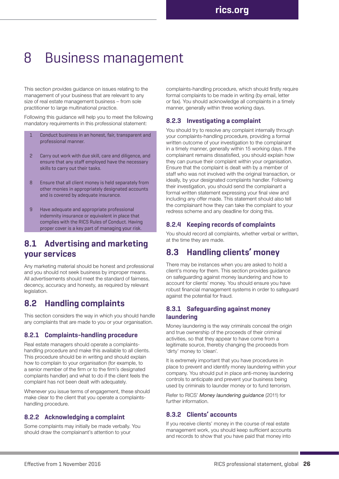## 8 Business management

This section provides guidance on issues relating to the management of your business that are relevant to any size of real estate management business – from sole practitioner to large multinational practice.

Following this guidance will help you to meet the following mandatory requirements in this professional statement:

- 1 Conduct business in an honest, fair, transparent and professional manner.
- 2 Carry out work with due skill, care and diligence, and ensure that any staff employed have the necessary skills to carry out their tasks.
- 8 Ensure that all client money is held separately from other monies in appropriately designated accounts and is covered by adequate insurance.
- 9 Have adequate and appropriate professional indemnity insurance or equivalent in place that complies with the RICS Rules of Conduct. Having proper cover is a key part of managing your risk.

## **8.1 Advertising and marketing your services**

Any marketing material should be honest and professional and you should not seek business by improper means. All advertisements should meet the standard of fairness, decency, accuracy and honesty, as required by relevant legislation.

## **8.2 Handling complaints**

This section considers the way in which you should handle any complaints that are made to you or your organisation.

#### **8.2.1 Complaints-handling procedure**

Real estate managers should operate a complaintshandling procedure and make this available to all clients. This procedure should be in writing and should explain how to complain to your organisation (for example, to a senior member of the firm or to the firm's designated complaints handler) and what to do if the client feels the complaint has not been dealt with adequately.

Whenever you issue terms of engagement, these should make clear to the client that you operate a complaintshandling procedure.

#### **8.2.2 Acknowledging a complaint**

Some complaints may initially be made verbally. You should draw the complainant's attention to your

complaints-handling procedure, which should firstly require formal complaints to be made in writing (by email, letter or fax). You should acknowledge all complaints in a timely manner, generally within three working days.

#### **8.2.3 Investigating a complaint**

You should try to resolve any complaint internally through your complaints-handling procedure, providing a formal written outcome of your investigation to the complainant in a timely manner, generally within 15 working days. If the complainant remains dissatisfied, you should explain how they can pursue their complaint within your organisation. Ensure that the complaint is dealt with by a member of staff who was not involved with the original transaction, or ideally, by your designated complaints handler. Following their investigation, you should send the complainant a formal written statement expressing your final view and including any offer made. This statement should also tell the complainant how they can take the complaint to your redress scheme and any deadline for doing this.

#### **8.2.4 Keeping records of complaints**

You should record all complaints, whether verbal or written, at the time they are made.

## **8.3 Handling clients' money**

There may be instances when you are asked to hold a client's money for them. This section provides guidance on safeguarding against money laundering and how to account for clients' money. You should ensure you have robust financial management systems in order to safeguard against the potential for fraud.

#### **8.3.1 Safeguarding against money laundering**

Money laundering is the way criminals conceal the origin and true ownership of the proceeds of their criminal activities, so that they appear to have come from a legitimate source, thereby changing the proceeds from 'dirty' money to 'clean'.

It is extremely important that you have procedures in place to prevent and identify money laundering within your company. You should put in place anti-money laundering controls to anticipate and prevent your business being used by criminals to launder money or to fund terrorism.

Refer to RICS' *Money laundering guidance* (2011) for further information.

#### **8.3.2 Clients' accounts**

If you receive clients' money in the course of real estate management work, you should keep sufficient accounts and records to show that you have paid that money into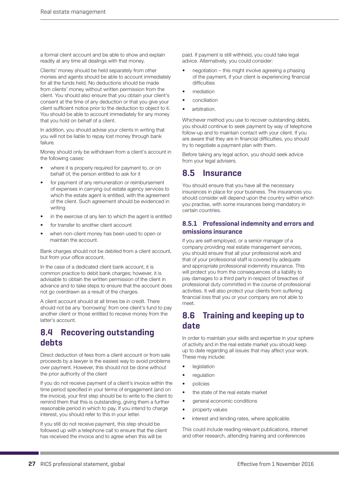a formal client account and be able to show and explain readily at any time all dealings with that money.

Clients' money should be held separately from other monies and agents should be able to account immediately for all the funds held. No deductions should be made from clients' money without written permission from the client. You should also ensure that you obtain your client's consent at the time of any deduction or that you give your client sufficient notice prior to the deduction to object to it. You should be able to account immediately for any money that you hold on behalf of a client.

In addition, you should advise your clients in writing that you will not be liable to repay lost money through bank failure.

Money should only be withdrawn from a client's account in the following cases:

- where it is properly required for payment to, or on behalf of, the person entitled to ask for it
- for payment of any remuneration or reimbursement of expenses in carrying out estate agency services to which the estate agent is entitled, with the agreement of the client. Such agreement should be evidenced in writing
- in the exercise of any lien to which the agent is entitled
- for transfer to another client account
- when non-client money has been used to open or maintain the account.

Bank charges should not be debited from a client account, but from your office account.

In the case of a dedicated client bank account, it is common practice to debit bank charges; however, it is advisable to obtain the written permission of the client in advance and to take steps to ensure that the account does not go overdrawn as a result of the charges.

A client account should at all times be in credit. There should not be any 'borrowing' from one client's fund to pay another client or those entitled to receive money from the latter's account.

## **8.4 Recovering outstanding debts**

Direct deduction of fees from a client account or from sale proceeds by a lawyer is the easiest way to avoid problems over payment. However, this should not be done without the prior authority of the client

If you do not receive payment of a client's invoice within the time period specified in your terms of engagement (and on the invoice), your first step should be to write to the client to remind them that this is outstanding, giving them a further reasonable period in which to pay. If you intend to charge interest, you should refer to this in your letter.

If you still do not receive payment, this step should be followed up with a telephone call to ensure that the client has received the invoice and to agree when this will be

paid. If payment is still withheld, you could take legal advice. Alternatively, you could consider:

- negotiation this might involve agreeing a phasing of the payment, if your client is experiencing financial difficulties
- mediation
- conciliation
- arbitration.

Whichever method you use to recover outstanding debts, you should continue to seek payment by way of telephone follow-up and to maintain contact with your client. If you are aware that they are in financial difficulties, you should try to negotiate a payment plan with them.

Before taking any legal action, you should seek advice from your legal advisers.

### **8.5 Insurance**

You should ensure that you have all the necessary insurances in place for your business. The insurances you should consider will depend upon the country within which you practise, with some insurances being mandatory in certain countries.

#### **8.5.1 Professional indemnity and errors and omissions insurance**

If you are self-employed, or a senior manager of a company providing real estate management services, you should ensure that all your professional work and that of your professional staff is covered by adequate and appropriate professional indemnity insurance. This will protect you from the consequences of a liability to pay damages to a third party in respect of breaches of professional duty committed in the course of professional activities. It will also protect your clients from suffering financial loss that you or your company are not able to meet.

### **8.6 Training and keeping up to date**

In order to maintain your skills and expertise in your sphere of activity and in the real estate market you should keep up to date regarding all issues that may affect your work. These may include:

- legislation
- regulation
- policies
- the state of the real estate market
- general economic conditions
- property values
- interest and lending rates, where applicable.

This could include reading relevant publications, internet and other research, attending training and conferences